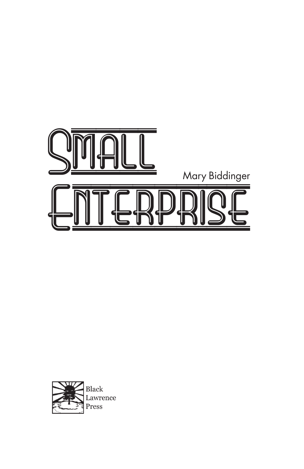

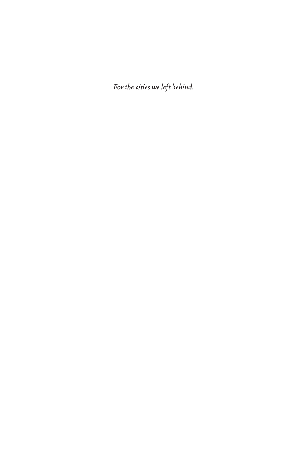*For the cities we left behind.*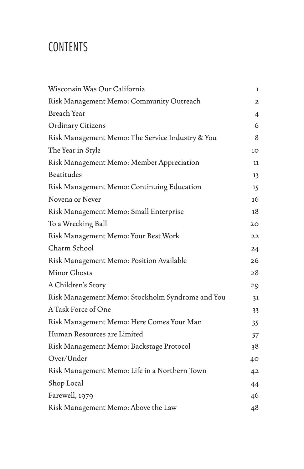# **CONTENTS**

| Wisconsin Was Our California                     | 1              |
|--------------------------------------------------|----------------|
| Risk Management Memo: Community Outreach         | $\mathbf{z}$   |
| Breach Year                                      | $\overline{4}$ |
| <b>Ordinary Citizens</b>                         | 6              |
| Risk Management Memo: The Service Industry & You | 8              |
| The Year in Style                                | 10             |
| Risk Management Memo: Member Appreciation        | 11             |
| Beatitudes                                       | 13             |
| Risk Management Memo: Continuing Education       | 15             |
| Novena or Never                                  | 16             |
| Risk Management Memo: Small Enterprise           | 18             |
| To a Wrecking Ball                               | 20             |
| Risk Management Memo: Your Best Work             | 22             |
| Charm School                                     | 24             |
| Risk Management Memo: Position Available         | 26             |
| Minor Ghosts                                     | 28             |
| A Children's Story                               | 29             |
| Risk Management Memo: Stockholm Syndrome and You | 31             |
| A Task Force of One                              | 33             |
| Risk Management Memo: Here Comes Your Man        | 35             |
| Human Resources are Limited                      | 37             |
| Risk Management Memo: Backstage Protocol         | 38             |
| Over/Under                                       | 40             |
| Risk Management Memo: Life in a Northern Town    | 42             |
| Shop Local                                       | 44             |
| Farewell, 1979                                   | 46             |
| Risk Management Memo: Above the Law              | 48             |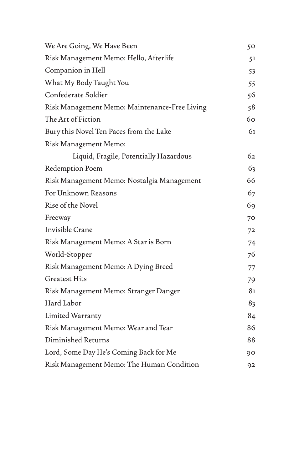| We Are Going, We Have Been                    | 50 |
|-----------------------------------------------|----|
| Risk Management Memo: Hello, Afterlife        | 51 |
| Companion in Hell                             | 53 |
| What My Body Taught You                       | 55 |
| Confederate Soldier                           | 56 |
| Risk Management Memo: Maintenance-Free Living | 58 |
| The Art of Fiction                            | 60 |
| Bury this Novel Ten Paces from the Lake       | 61 |
| Risk Management Memo:                         |    |
| Liquid, Fragile, Potentially Hazardous        | 62 |
| Redemption Poem                               | 63 |
| Risk Management Memo: Nostalgia Management    | 66 |
| For Unknown Reasons                           | 67 |
| Rise of the Novel                             | 69 |
| Freeway                                       | 70 |
| Invisible Crane                               | 72 |
| Risk Management Memo: A Star is Born          | 74 |
| World-Stopper                                 | 76 |
| Risk Management Memo: A Dying Breed           | 77 |
| <b>Greatest Hits</b>                          | 79 |
| Risk Management Memo: Stranger Danger         | 81 |
| Hard Labor                                    | 83 |
| Limited Warranty                              | 84 |
| Risk Management Memo: Wear and Tear           | 86 |
| Diminished Returns                            | 88 |
| Lord, Some Day He's Coming Back for Me        | 90 |
| Risk Management Memo: The Human Condition     | 92 |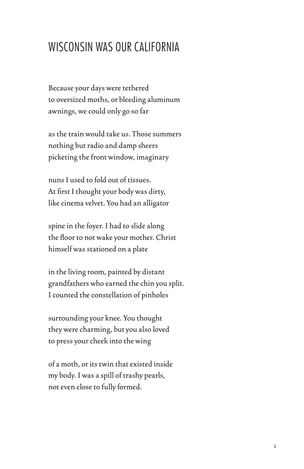### WISCONSIN WAS OUR CALIFORNIA

Because your days were tethered to oversized moths, or bleeding aluminum awnings, we could only go so far

as the train would take us. Those summers nothing but radio and damp sheers picketing the front window, imaginary

nuns I used to fold out of tissues. At first I thought your body was dirty, like cinema velvet. You had an alligator

spine in the foyer. I had to slide along the floor to not wake your mother. Christ himself was stationed on a plate

in the living room, painted by distant grandfathers who earned the chin you split. I counted the constellation of pinholes

surrounding your knee. You thought they were charming, but you also loved to press your cheek into the wing

of a moth, or its twin that existed inside my body. I was a spill of trashy pearls, not even close to fully formed.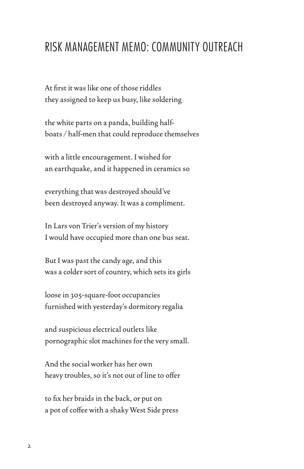#### RISK MANAGEMENT MEMO: COMMUNITY OUTREACH

At first it was like one of those riddles they assigned to keep us busy, like soldering

the white parts on a panda, building halfboats / half-men that could reproduce themselves

with a little encouragement. I wished for an earthquake, and it happened in ceramics so

everything that was destroyed should've been destroyed anyway. It was a compliment.

In Lars von Trier's version of my history I would have occupied more than one bus seat.

But I was past the candy age, and this was a colder sort of country, which sets its girls

loose in 305-square-foot occupancies furnished with yesterday's dormitory regalia

and suspicious electrical outlets like pornographic slot machines for the very small.

And the social worker has her own heavy troubles, so it's not out of line to offer

to fix her braids in the back, or put on a pot of coffee with a shaky West Side press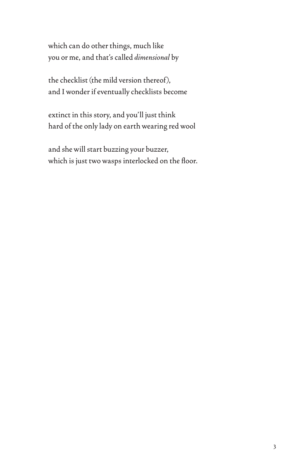which can do other things, much like you or me, and that's called *dimensional* by

the checklist (the mild version thereof), and I wonder if eventually checklists become

extinct in this story, and you'll just think hard of the only lady on earth wearing red wool

and she will start buzzing your buzzer, which is just two wasps interlocked on the floor.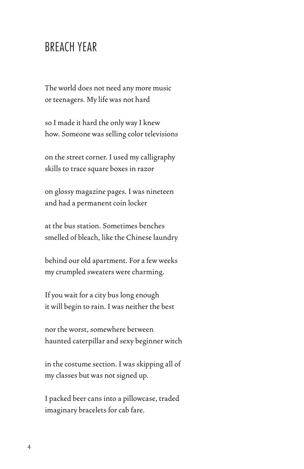#### BREACH YEAR

The world does not need any more music or teenagers. My life was not hard

so I made it hard the only way I knew how. Someone was selling color televisions

on the street corner. I used my calligraphy skills to trace square boxes in razor

on glossy magazine pages. I was nineteen and had a permanent coin locker

at the bus station. Sometimes benches smelled of bleach, like the Chinese laundry

behind our old apartment. For a few weeks my crumpled sweaters were charming.

If you wait for a city bus long enough it will begin to rain. I was neither the best

nor the worst, somewhere between haunted caterpillar and sexy beginner witch

in the costume section. I was skipping all of my classes but was not signed up.

I packed beer cans into a pillowcase, traded imaginary bracelets for cab fare.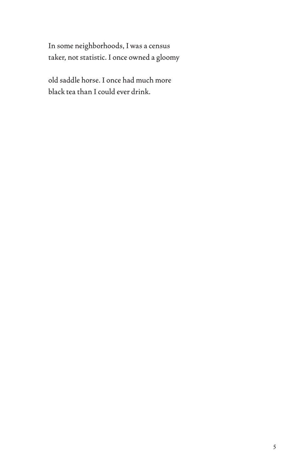In some neighborhoods, I was a census taker, not statistic. I once owned a gloomy

old saddle horse. I once had much more black tea than I could ever drink.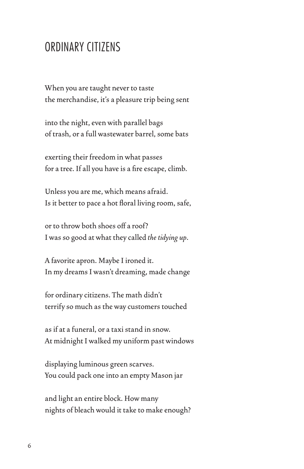#### ORDINARY CITIZENS

When you are taught never to taste the merchandise, it's a pleasure trip being sent

into the night, even with parallel bags of trash, or a full wastewater barrel, some bats

exerting their freedom in what passes for a tree. If all you have is a fire escape, climb.

Unless you are me, which means afraid. Is it better to pace a hot floral living room, safe,

or to throw both shoes off a roof? I was so good at what they called *the tidying up*.

A favorite apron. Maybe I ironed it. In my dreams I wasn't dreaming, made change

for ordinary citizens. The math didn't terrify so much as the way customers touched

as if at a funeral, or a taxi stand in snow. At midnight I walked my uniform past windows

displaying luminous green scarves. You could pack one into an empty Mason jar

and light an entire block. How many nights of bleach would it take to make enough?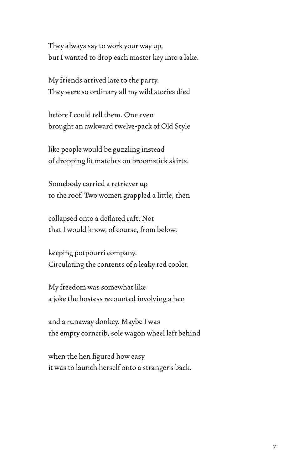They always say to work your way up, but I wanted to drop each master key into a lake.

My friends arrived late to the party. They were so ordinary all my wild stories died

before I could tell them. One even brought an awkward twelve-pack of Old Style

like people would be guzzling instead of dropping lit matches on broomstick skirts.

Somebody carried a retriever up to the roof. Two women grappled a little, then

collapsed onto a deflated raft. Not that I would know, of course, from below,

keeping potpourri company. Circulating the contents of a leaky red cooler.

My freedom was somewhat like a joke the hostess recounted involving a hen

and a runaway donkey. Maybe I was the empty corncrib, sole wagon wheel left behind

when the hen figured how easy it was to launch herself onto a stranger's back.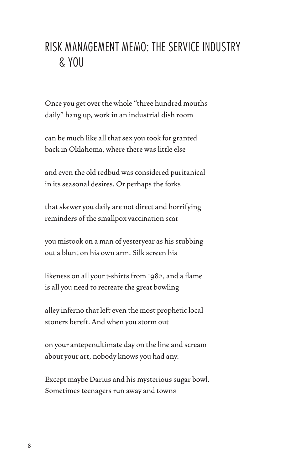## RISK MANAGEMENT MEMO: THE SERVICE INDUSTRY & YOU

Once you get over the whole "three hundred mouths daily" hang up, work in an industrial dish room

can be much like all that sex you took for granted back in Oklahoma, where there was little else

and even the old redbud was considered puritanical in its seasonal desires. Or perhaps the forks

that skewer you daily are not direct and horrifying reminders of the smallpox vaccination scar

you mistook on a man of yesteryear as his stubbing out a blunt on his own arm. Silk screen his

likeness on all your t-shirts from 1982, and a flame is all you need to recreate the great bowling

alley inferno that left even the most prophetic local stoners bereft. And when you storm out

on your antepenultimate day on the line and scream about your art, nobody knows you had any.

Except maybe Darius and his mysterious sugar bowl. Sometimes teenagers run away and towns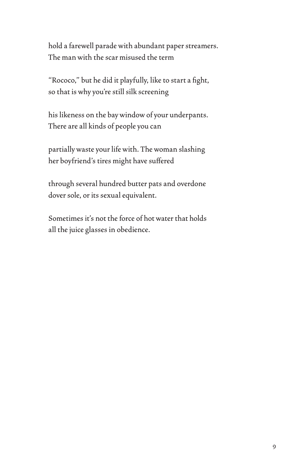hold a farewell parade with abundant paper streamers. The man with the scar misused the term

"Rococo," but he did it playfully, like to start a fight, so that is why you're still silk screening

his likeness on the bay window of your underpants. There are all kinds of people you can

partially waste your life with. The woman slashing her boyfriend's tires might have suffered

through several hundred butter pats and overdone dover sole, or its sexual equivalent.

Sometimes it's not the force of hot water that holds all the juice glasses in obedience.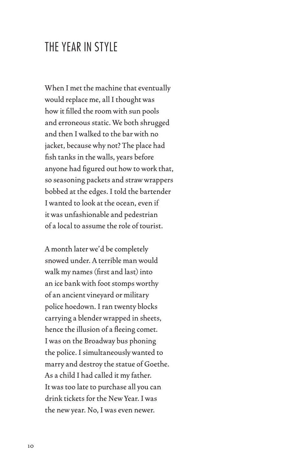#### THE YEAR IN STYLE

When I met the machine that eventually would replace me, all I thought was how it filled the room with sun pools and erroneous static. We both shrugged and then I walked to the bar with no jacket, because why not? The place had fish tanks in the walls, years before anyone had figured out how to work that, so seasoning packets and straw wrappers bobbed at the edges. I told the bartender I wanted to look at the ocean, even if it was unfashionable and pedestrian of a local to assume the role of tourist.

A month later we'd be completely snowed under. A terrible man would walk my names (first and last) into an ice bank with foot stomps worthy of an ancient vineyard or military police hoedown. I ran twenty blocks carrying a blender wrapped in sheets, hence the illusion of a fleeing comet. I was on the Broadway bus phoning the police. I simultaneously wanted to marry and destroy the statue of Goethe. As a child I had called it my father. It was too late to purchase all you can drink tickets for the New Year. I was the new year. No, I was even newer.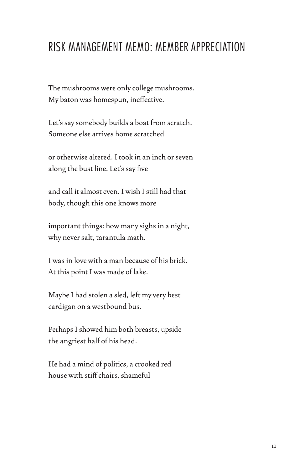## RISK MANAGEMENT MEMO: MEMBER APPRECIATION

The mushrooms were only college mushrooms. My baton was homespun, ineffective.

Let's say somebody builds a boat from scratch. Someone else arrives home scratched

or otherwise altered. I took in an inch or seven along the bust line. Let's say five

and call it almost even. I wish I still had that body, though this one knows more

important things: how many sighs in a night, why never salt, tarantula math.

I was in love with a man because of his brick. At this point I was made of lake.

Maybe I had stolen a sled, left my very best cardigan on a westbound bus.

Perhaps I showed him both breasts, upside the angriest half of his head.

He had a mind of politics, a crooked red house with stiff chairs, shameful